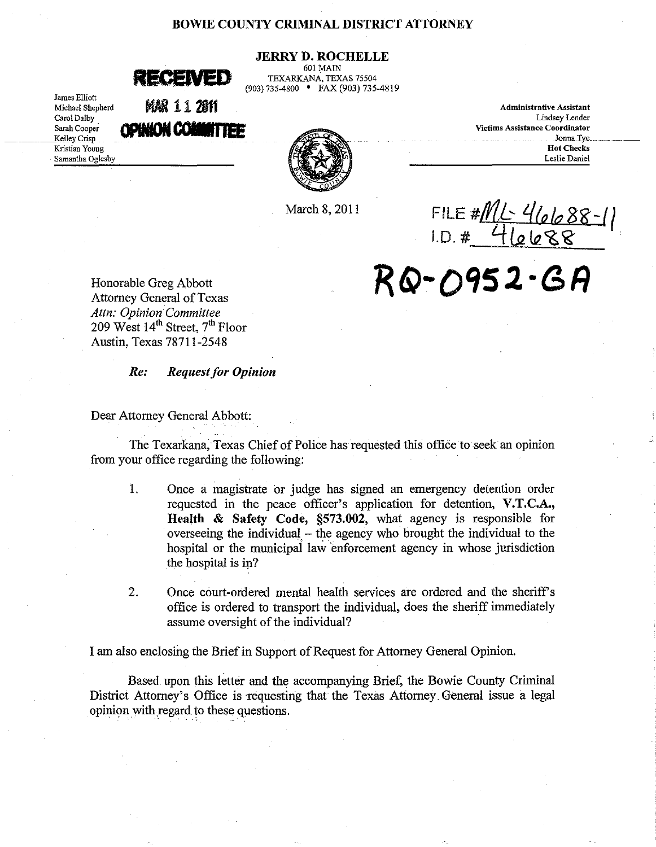## BOWIE COUNTY CRIMINAL DISTRICT ATTORNEY

# JERRY D. ROCHELLE

601 MAIN TEXARKANA, TEXAS 75504 (903)735-4800 • FAX (903) 735-4819

| RECENED |  |
|---------|--|
|         |  |

James Elliott Michael Shepherd Carol Dalby Sarah Cooper \_\_\_\_ Kelley Crisp Kristian Young Samantha Oglesby

AR 112011

| Administrative Assistant              |  |
|---------------------------------------|--|
| Lindsey Lender                        |  |
| <b>Victims Assistance Coordinator</b> |  |
| <b>Jonna Tye</b>                      |  |
| <b>Hot Checks</b>                     |  |
| Leslie Daniel                         |  |

March 8, 2011 FILE # 11 **4 00 88 -** 1 1.D. <u># 46688</u>

Honorable Greg Abbott *R* **fi)- 0'152- <sup>G</sup>***R*  Attorney General of Texas *Attn: Opinion Committee*  209 West 14<sup>th</sup> Street, 7<sup>th</sup> Floor Austin, Texas 78711-2548

#### *Resigneright* **Request for Opinion**

Dear Attorney General Abbott:

The Texarkana, Texas Chief of Police has requested this office to seek an opinion from your office regarding the following:

- 1. Once a magistrate or judge has signed an emergency detention order requested in the peace officer's application for detention, V.T.C.A., Health & Safety Code, §573.002, what agency is responsible. for overseeing the individual  $-$  the agency who brought the individual to the hospital or the municipal law 'enforcement agency in whose jurisdiction the hospital is in?
- 2. Once court-ordered mental health services are ordered and the sheriff's office is ordered to transport the individual, does the sheriff immediately assume oversight of the individual?

I am also enclosing the Briefin Support of Request for Attorney General Opinion.

Based upon this letter and the accompanying Brief, the Bowie County Criminal District Attorney's Office is requesting that the Texas Attorney, General issue a legal opinion with.regard to these questions.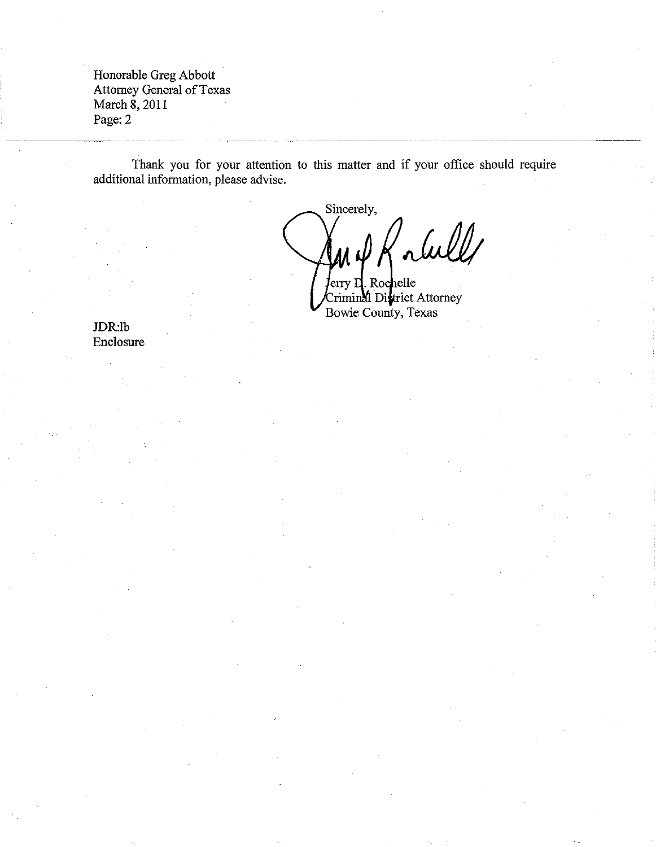Honorable Greg Abbott Attorney General of Texas March 8, 2011 Page: 2

Thank you for your attention to this matter and if your office should require additional information, please advise.

Sincerely, alull II U ferry L. Rochelle

-------------

Criminal District Attorney Bowie County, Texas

JDR:lb Enclosure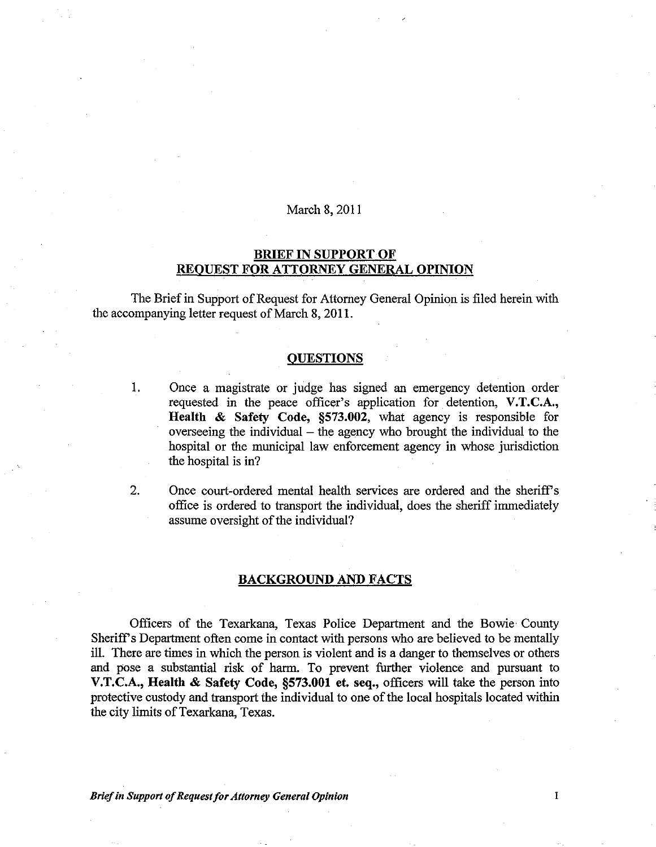## March 8, 2011

# BRIEF IN SUPPORT OF REOUEST FOR ATTORNEY GENERAL OPINION

The Brief in Support of Request for Attorney General Opinion is filed herein with the accompanying letter request of March 8, 2011.

## **OUESTIONS**

1. Once a magistrate or judge has signed an emergency detention order requested in the peace officer's application for detention, V.T.C.A., Health & Safety Code, §573.002, what agency is responsible for overseeing the individual  $-$  the agency who brought the individual to the hospital or the municipal law enforcement agency in whose jurisdiction the hospital is in?

2. Once court-ordered mental health services are ordered and the sheriff's office is ordered to transport the individual, does the sheriff immediately assume oversight of the individual?

## BACKGROUND AND FACTS

Officers of the Texarkana, Texas Police Department and the Bowie County Sheriff's Department often come in contact with persons who are believed to be mentally ill. There are times in which the person is violent and is a danger to themselves or others and pose a substantial risk of harm. To prevent further violence and pursuant to V.T.C.A., Health & Safety Code, §573.001 et. seq., officers will take the person into protective custody and transport the individual to one of the local hospitals located within the city limits of Texarkana, Texas.

*Brief in Support of Request for Attorney General Opinion* 1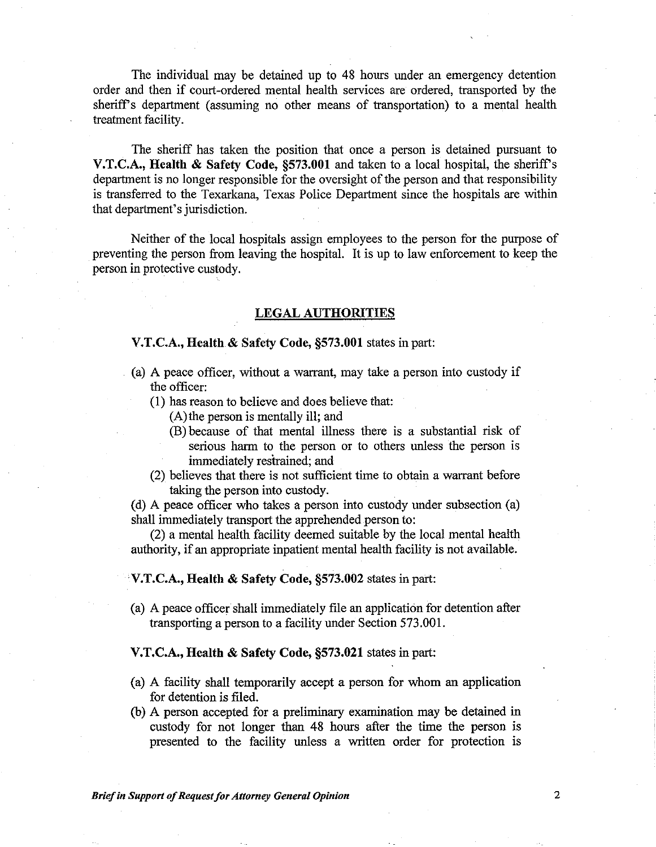The individual may be detained up to 48 hours under an emergency detention order and then if court-ordered mental health services are ordered, transported by the sheriff's department (assuming no other means of transportation) to a mental health treatment facility.

The sheriff has taken the position that once a person is detained pursuant to V.T.C.A., Health & Safety Code, §573.001 and taken to a local hospital, the sheriff's department is no longer responsible for the oversight of the person and that responsibility is transferred to the Texarkana, Texas Police Department since the hospitals are within that department's jurisdiction.

Neither of the local hospitals assign employees to the person for the purpose of preventing the person from leaving the hospital. It is up to law enforcement to keep the person in protective custody.

# LEGAL AUTHORITIES

# V.T.C.A., Health & Safety Code, §573.001 states in part:

- (a) A peace officer, without a warrant, may take a person into custody if the officer:
	- (1) has reason to believe and does believe that:
		- (A) the person is mentally ill; and
		- (B) because of that mental illness there is a substantial risk of serious harm to the person or to others unless the person is immediately restrained; and
	- (2) believes that there is not sufficient time to obtain a warrant before taking the person into custody.

(d) A peace officer who takes a person into custody under subsection (a) shall immediately transport the apprehended person to:

(2) a mental health facility deemed suitable by the local mental health authority, if an appropriate inpatient mental health facility is not available.

#### V.T.C.A., Health & Safety Code, §573.002 states in part:

(a) A peace officer shall immediately file an application for detention after transporting a person to a facility under Section 573.001.

#### V.T.C.A., Health & Safety Code, §573.021 states in part:

- (a) A facility shall temporarily accept a person for whom an application for detention is filed.
- (b) A person accepted for a preliminary examination may be detained in custody for not longer than 48 hours after the time the person is presented to the facility unless a written order for protection is

*Brief in Support of Request for Attorney General Opinion* **<b>2 2**